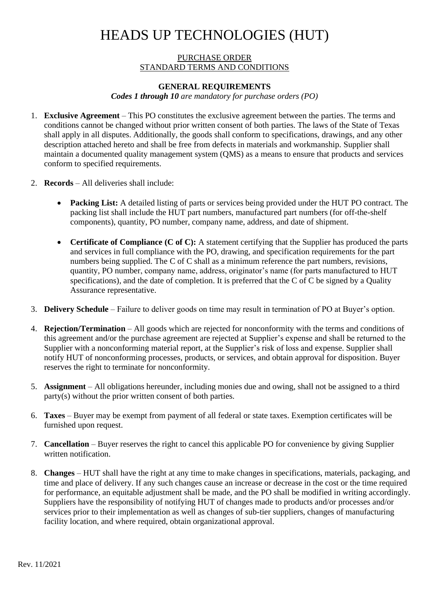## HEADS UP TECHNOLOGIES (HUT)

#### PURCHASE ORDER STANDARD TERMS AND CONDITIONS

#### **GENERAL REQUIREMENTS**

*Codes 1 through 10 are mandatory for purchase orders (PO)*

- 1. **Exclusive Agreement**  This PO constitutes the exclusive agreement between the parties. The terms and conditions cannot be changed without prior written consent of both parties. The laws of the State of Texas shall apply in all disputes. Additionally, the goods shall conform to specifications, drawings, and any other description attached hereto and shall be free from defects in materials and workmanship. Supplier shall maintain a documented quality management system (QMS) as a means to ensure that products and services conform to specified requirements.
- 2. **Records**  All deliveries shall include:
	- **Packing List:** A detailed listing of parts or services being provided under the HUT PO contract. The packing list shall include the HUT part numbers, manufactured part numbers (for off-the-shelf components), quantity, PO number, company name, address, and date of shipment.
	- **Certificate of Compliance (C of C):** A statement certifying that the Supplier has produced the parts and services in full compliance with the PO, drawing, and specification requirements for the part numbers being supplied. The C of C shall as a minimum reference the part numbers, revisions, quantity, PO number, company name, address, originator's name (for parts manufactured to HUT specifications), and the date of completion. It is preferred that the C of C be signed by a Quality Assurance representative.
- 3. **Delivery Schedule**  Failure to deliver goods on time may result in termination of PO at Buyer's option.
- 4. **Rejection/Termination**  All goods which are rejected for nonconformity with the terms and conditions of this agreement and/or the purchase agreement are rejected at Supplier's expense and shall be returned to the Supplier with a nonconforming material report, at the Supplier's risk of loss and expense. Supplier shall notify HUT of nonconforming processes, products, or services, and obtain approval for disposition. Buyer reserves the right to terminate for nonconformity.
- 5. **Assignment**  All obligations hereunder, including monies due and owing, shall not be assigned to a third party(s) without the prior written consent of both parties.
- 6. **Taxes**  Buyer may be exempt from payment of all federal or state taxes. Exemption certificates will be furnished upon request.
- 7. **Cancellation**  Buyer reserves the right to cancel this applicable PO for convenience by giving Supplier written notification.
- 8. **Changes**  HUT shall have the right at any time to make changes in specifications, materials, packaging, and time and place of delivery. If any such changes cause an increase or decrease in the cost or the time required for performance, an equitable adjustment shall be made, and the PO shall be modified in writing accordingly. Suppliers have the responsibility of notifying HUT of changes made to products and/or processes and/or services prior to their implementation as well as changes of sub-tier suppliers, changes of manufacturing facility location, and where required, obtain organizational approval.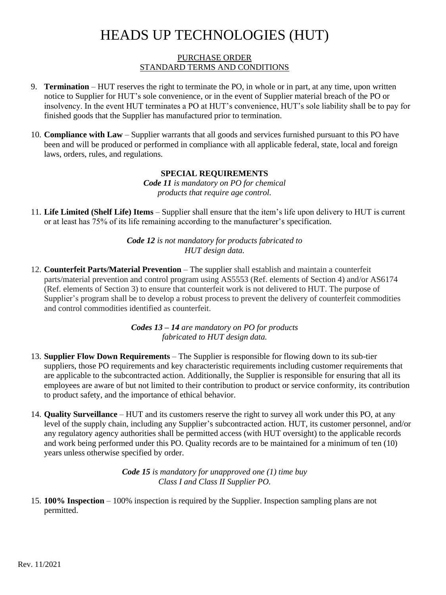# HEADS UP TECHNOLOGIES (HUT)

#### PURCHASE ORDER STANDARD TERMS AND CONDITIONS

- 9. **Termination**  HUT reserves the right to terminate the PO, in whole or in part, at any time, upon written notice to Supplier for HUT's sole convenience, or in the event of Supplier material breach of the PO or insolvency. In the event HUT terminates a PO at HUT's convenience, HUT's sole liability shall be to pay for finished goods that the Supplier has manufactured prior to termination.
- 10. **Compliance with Law**  Supplier warrants that all goods and services furnished pursuant to this PO have been and will be produced or performed in compliance with all applicable federal, state, local and foreign laws, orders, rules, and regulations.

### **SPECIAL REQUIREMENTS**

*Code 11 is mandatory on PO for chemical products that require age control.*

11. **Life Limited (Shelf Life) Items** – Supplier shall ensure that the item's life upon delivery to HUT is current or at least has 75% of its life remaining according to the manufacturer's specification.

> *Code 12 is not mandatory for products fabricated to HUT design data.*

12. **Counterfeit Parts/Material Prevention** – The supplier shall establish and maintain a counterfeit parts/material prevention and control program using AS5553 (Ref. elements of Section 4) and/or AS6174 (Ref. elements of Section 3) to ensure that counterfeit work is not delivered to HUT. The purpose of Supplier's program shall be to develop a robust process to prevent the delivery of counterfeit commodities and control commodities identified as counterfeit.

> *Codes 13 – 14 are mandatory on PO for products fabricated to HUT design data.*

- 13. **Supplier Flow Down Requirements**  The Supplier is responsible for flowing down to its sub-tier suppliers, those PO requirements and key characteristic requirements including customer requirements that are applicable to the subcontracted action. Additionally, the Supplier is responsible for ensuring that all its employees are aware of but not limited to their contribution to product or service conformity, its contribution to product safety, and the importance of ethical behavior.
- 14. **Quality Surveillance**  HUT and its customers reserve the right to survey all work under this PO, at any level of the supply chain, including any Supplier's subcontracted action. HUT, its customer personnel, and/or any regulatory agency authorities shall be permitted access (with HUT oversight) to the applicable records and work being performed under this PO. Quality records are to be maintained for a minimum of ten (10) years unless otherwise specified by order.

*Code 15 is mandatory for unapproved one (1) time buy Class I and Class II Supplier PO.*

15. **100% Inspection** – 100% inspection is required by the Supplier. Inspection sampling plans are not permitted.